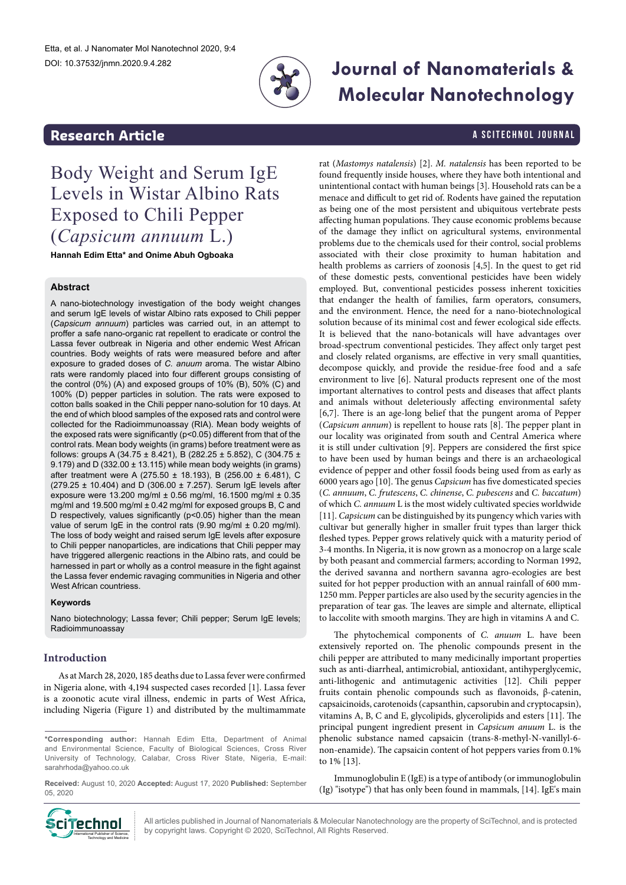

## **Research Article And Article A SCITECHNOL JOURNAL**

# **Journal of Nanomaterials & Molecular Nanotechnology**

Body Weight and Serum IgE Levels in Wistar Albino Rats Exposed to Chili Pepper (*Capsicum annuum* L.)

**Hannah Edim Etta\* and Onime Abuh Ogboaka**

#### **Abstract**

A nano-biotechnology investigation of the body weight changes and serum IgE levels of wistar Albino rats exposed to Chili pepper (*Capsicum annuum*) particles was carried out, in an attempt to proffer a safe nano-organic rat repellent to eradicate or control the Lassa fever outbreak in Nigeria and other endemic West African countries. Body weights of rats were measured before and after exposure to graded doses of *C. anuum* aroma. The wistar Albino rats were randomly placed into four different groups consisting of the control (0%) (A) and exposed groups of 10% (B), 50% (C) and 100% (D) pepper particles in solution. The rats were exposed to cotton balls soaked in the Chili pepper nano-solution for 10 days. At the end of which blood samples of the exposed rats and control were collected for the Radioimmunoassay (RIA). Mean body weights of the exposed rats were significantly (p<0.05) different from that of the control rats. Mean body weights (in grams) before treatment were as follows: groups A (34.75 ± 8.421), B (282.25 ± 5.852), C (304.75 ± 9.179) and D (332.00 ± 13.115) while mean body weights (in grams) after treatment were A (275.50 ± 18.193), B (256.00 ± 6.481), C (279.25 ± 10.404) and D (306.00 ± 7.257). Serum IgE levels after exposure were 13.200 mg/ml ± 0.56 mg/ml, 16.1500 mg/ml ± 0.35 mg/ml and 19.500 mg/ml ± 0.42 mg/ml for exposed groups B, C and D respectively, values significantly (p<0.05) higher than the mean value of serum IgE in the control rats (9.90 mg/ml ± 0.20 mg/ml). The loss of body weight and raised serum IgE levels after exposure to Chili pepper nanoparticles, are indications that Chili pepper may have triggered allergenic reactions in the Albino rats, and could be harnessed in part or wholly as a control measure in the fight against the Lassa fever endemic ravaging communities in Nigeria and other West African countriess.

#### **Keywords**

Nano biotechnology; Lassa fever; Chili pepper; Serum IgE levels; Radioimmunoassay

#### **Introduction**

As at March 28, 2020, 185 deaths due to Lassa fever were confirmed in Nigeria alone, with 4,194 suspected cases recorded [1]. Lassa fever is a zoonotic acute viral illness, endemic in parts of West Africa, including Nigeria (Figure 1) and distributed by the multimammate

**Received:** August 10, 2020 **Accepted:** August 17, 2020 **Published:** September 05, 2020



All articles published in Journal of Nanomaterials & Molecular Nanotechnology are the property of SciTechnol, and is protected by copyright laws. Copyright © 2020, SciTechnol, All Rights Reserved.

rat (*Mastomys natalensis*) [2]. *M. natalensis* has been reported to be found frequently inside houses, where they have both intentional and unintentional contact with human beings [3]. Household rats can be a menace and difficult to get rid of. Rodents have gained the reputation as being one of the most persistent and ubiquitous vertebrate pests affecting human populations. They cause economic problems because of the damage they inflict on agricultural systems, environmental problems due to the chemicals used for their control, social problems associated with their close proximity to human habitation and health problems as carriers of zoonosis [4,5]. In the quest to get rid of these domestic pests, conventional pesticides have been widely employed. But, conventional pesticides possess inherent toxicities that endanger the health of families, farm operators, consumers, and the environment. Hence, the need for a nano-biotechnological solution because of its minimal cost and fewer ecological side effects. It is believed that the nano-botanicals will have advantages over broad-spectrum conventional pesticides. They affect only target pest and closely related organisms, are effective in very small quantities, decompose quickly, and provide the residue-free food and a safe environment to live [6]. Natural products represent one of the most important alternatives to control pests and diseases that affect plants and animals without deleteriously affecting environmental safety [6,7]. There is an age-long belief that the pungent aroma of Pepper (*Capsicum annum*) is repellent to house rats [8]. The pepper plant in our locality was originated from south and Central America where it is still under cultivation [9]. Peppers are considered the first spice to have been used by human beings and there is an archaeological evidence of pepper and other fossil foods being used from as early as 6000 years ago [10]. The genus *Capsicum* has five domesticated species (*C. annuum*, *C. frutescens*, *C. chinense*, *C. pubescens* and *C. baccatum*) of which *C. annuum* L is the most widely cultivated species worldwide [11]. *Capsicum* can be distinguished by its pungency which varies with cultivar but generally higher in smaller fruit types than larger thick fleshed types. Pepper grows relatively quick with a maturity period of 3-4 months. In Nigeria, it is now grown as a monocrop on a large scale by both peasant and commercial farmers; according to Norman 1992, the derived savanna and northern savanna agro-ecologies are best suited for hot pepper production with an annual rainfall of 600 mm-1250 mm. Pepper particles are also used by the security agencies in the preparation of tear gas. The leaves are simple and alternate, elliptical to laccolite with smooth margins. They are high in vitamins A and C.

The phytochemical components of *C. anuum* L. have been extensively reported on. The phenolic compounds present in the chili pepper are attributed to many medicinally important properties such as anti-diarrheal, antimicrobial, antioxidant, antihyperglycemic, anti-lithogenic and antimutagenic activities [12]. Chili pepper fruits contain phenolic compounds such as flavonoids, β-catenin, capsaicinoids, carotenoids (capsanthin, capsorubin and cryptocapsin), vitamins A, B, C and E, glycolipids, glycerolipids and esters [11]. The principal pungent ingredient present in *Capsicum anuum* L. is the phenolic substance named capsaicin (trans-8-methyl-N-vanillyl-6 non-enamide). The capsaicin content of hot peppers varies from 0.1% to 1% [13].

Immunoglobulin E (IgE) is a type of antibody (or immunoglobulin (Ig) "isotype") that has only been found in mammals, [14]. IgE's main

**<sup>\*</sup>Corresponding author:** Hannah Edim Etta, Department of Animal and Environmental Science, Faculty of Biological Sciences, Cross River University of Technology, Calabar, Cross River State, Nigeria, E-mail: sarahrhoda@yahoo.co.uk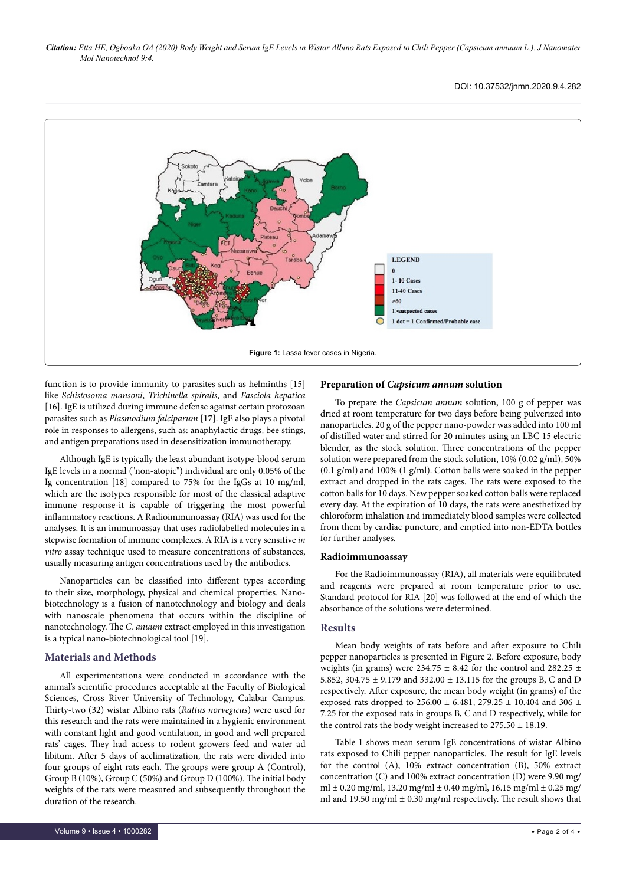*Citation: Etta HE, Ogboaka OA (2020) Body Weight and Serum IgE Levels in Wistar Albino Rats Exposed to Chili Pepper (Capsicum annuum L.). J Nanomater Mol Nanotechnol 9:4.*

#### DOI: 10.37532/jnmn.2020.9.4.282



function is to provide immunity to parasites such as helminths [15] like *Schistosoma mansoni*, *Trichinella spiralis*, and *Fasciola hepatica* [16]. IgE is utilized during immune defense against certain protozoan parasites such as *Plasmodium falciparum* [17]. IgE also plays a pivotal role in responses to allergens, such as: anaphylactic drugs, bee stings, and antigen preparations used in desensitization immunotherapy.

Although IgE is typically the least abundant isotype-blood serum IgE levels in a normal ("non-atopic") individual are only 0.05% of the Ig concentration [18] compared to 75% for the IgGs at 10 mg/ml, which are the isotypes responsible for most of the classical adaptive immune response-it is capable of triggering the most powerful inflammatory reactions. A Radioimmunoassay (RIA) was used for the analyses. It is an immunoassay that uses radiolabelled molecules in a stepwise formation of immune complexes. A RIA is a very sensitive *in vitro* assay technique used to measure concentrations of substances, usually measuring antigen concentrations used by the antibodies.

Nanoparticles can be classified into different types according to their size, morphology, physical and chemical properties. Nanobiotechnology is a fusion of nanotechnology and biology and deals with nanoscale phenomena that occurs within the discipline of nanotechnology. The *C. anuum* extract employed in this investigation is a typical nano-biotechnological tool [19].

#### **Materials and Methods**

All experimentations were conducted in accordance with the animal's scientific procedures acceptable at the Faculty of Biological Sciences, Cross River University of Technology, Calabar Campus. Thirty-two (32) wistar Albino rats (*Rattus norvegicus*) were used for this research and the rats were maintained in a hygienic environment with constant light and good ventilation, in good and well prepared rats' cages. They had access to rodent growers feed and water ad libitum. After 5 days of acclimatization, the rats were divided into four groups of eight rats each. The groups were group A (Control), Group B (10%), Group C (50%) and Group D (100%). The initial body weights of the rats were measured and subsequently throughout the duration of the research.

#### **Preparation of** *Capsicum annum* **solution**

To prepare the *Capsicum annum* solution, 100 g of pepper was dried at room temperature for two days before being pulverized into nanoparticles. 20 g of the pepper nano-powder was added into 100 ml of distilled water and stirred for 20 minutes using an LBC 15 electric blender, as the stock solution. Three concentrations of the pepper solution were prepared from the stock solution, 10% (0.02 g/ml), 50% (0.1 g/ml) and 100% (1 g/ml). Cotton balls were soaked in the pepper extract and dropped in the rats cages. The rats were exposed to the cotton balls for 10 days. New pepper soaked cotton balls were replaced every day. At the expiration of 10 days, the rats were anesthetized by chloroform inhalation and immediately blood samples were collected from them by cardiac puncture, and emptied into non-EDTA bottles for further analyses.

#### **Radioimmunoassay**

For the Radioimmunoassay (RIA), all materials were equilibrated and reagents were prepared at room temperature prior to use. Standard protocol for RIA [20] was followed at the end of which the absorbance of the solutions were determined.

#### **Results**

Mean body weights of rats before and after exposure to Chili pepper nanoparticles is presented in Figure 2. Before exposure, body weights (in grams) were 234.75  $\pm$  8.42 for the control and 282.25  $\pm$ 5.852, 304.75 ± 9.179 and 332.00 ± 13.115 for the groups B, C and D respectively. After exposure, the mean body weight (in grams) of the exposed rats dropped to 256.00  $\pm$  6.481, 279.25  $\pm$  10.404 and 306  $\pm$ 7.25 for the exposed rats in groups B, C and D respectively, while for the control rats the body weight increased to  $275.50 \pm 18.19$ .

Table 1 shows mean serum IgE concentrations of wistar Albino rats exposed to Chili pepper nanoparticles. The result for IgE levels for the control (A), 10% extract concentration (B), 50% extract concentration (C) and 100% extract concentration (D) were 9.90 mg/ ml  $\pm$  0.20 mg/ml, 13.20 mg/ml  $\pm$  0.40 mg/ml, 16.15 mg/ml  $\pm$  0.25 mg/ ml and 19.50 mg/ml  $\pm$  0.30 mg/ml respectively. The result shows that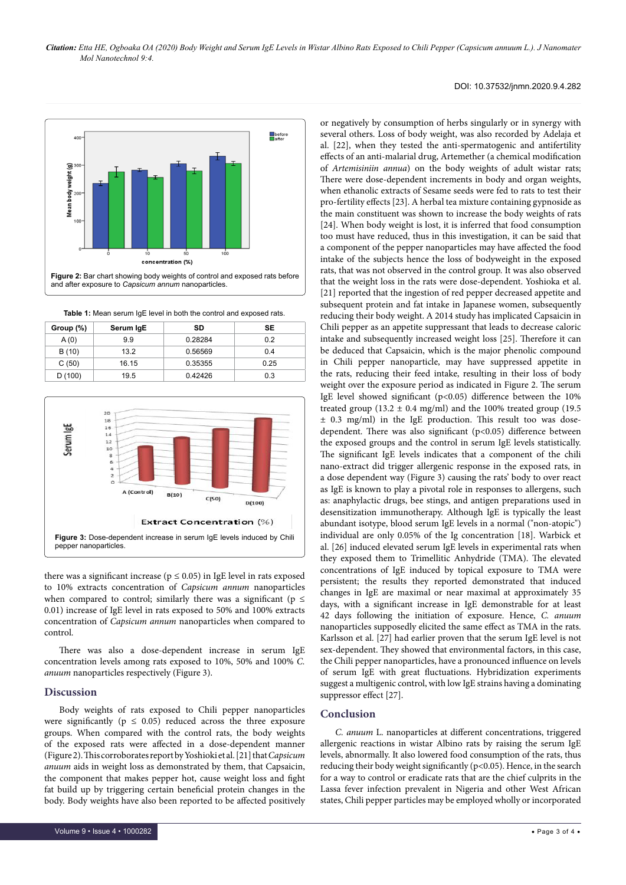#### DOI: 10.37532/jnmn.2020.9.4.282



**Table 1:** Mean serum IgE level in both the control and exposed rats.

| Group (%) | Serum IgE | SD      | SE   |
|-----------|-----------|---------|------|
| A(0)      | 9.9       | 0.28284 | 0.2  |
| B (10)    | 13.2      | 0.56569 | 0.4  |
| C(50)     | 16.15     | 0.35355 | 0.25 |
| D(100)    | 19.5      | 0.42426 | 0.3  |



there was a significant increase ( $p \le 0.05$ ) in IgE level in rats exposed to 10% extracts concentration of *Capsicum annum* nanoparticles when compared to control; similarly there was a significant ( $p \leq$ 0.01) increase of IgE level in rats exposed to 50% and 100% extracts concentration of *Capsicum annum* nanoparticles when compared to control.

There was also a dose-dependent increase in serum IgE concentration levels among rats exposed to 10%, 50% and 100% *C. anuum* nanoparticles respectively (Figure 3).

#### **Discussion**

Body weights of rats exposed to Chili pepper nanoparticles were significantly ( $p \le 0.05$ ) reduced across the three exposure groups. When compared with the control rats, the body weights of the exposed rats were affected in a dose-dependent manner (Figure 2). This corroborates report by Yoshioki et al. [21] that *Capsicum anuum* aids in weight loss as demonstrated by them, that Capsaicin, the component that makes pepper hot, cause weight loss and fight fat build up by triggering certain beneficial protein changes in the body. Body weights have also been reported to be affected positively or negatively by consumption of herbs singularly or in synergy with several others. Loss of body weight, was also recorded by Adelaja et al. [22], when they tested the anti-spermatogenic and antifertility effects of an anti-malarial drug, Artemether (a chemical modification of *Artemisiniin annua*) on the body weights of adult wistar rats; There were dose-dependent increments in body and organ weights, when ethanolic extracts of Sesame seeds were fed to rats to test their pro-fertility effects [23]. A herbal tea mixture containing gypnoside as the main constituent was shown to increase the body weights of rats [24]. When body weight is lost, it is inferred that food consumption too must have reduced, thus in this investigation, it can be said that a component of the pepper nanoparticles may have affected the food intake of the subjects hence the loss of bodyweight in the exposed rats, that was not observed in the control group. It was also observed that the weight loss in the rats were dose-dependent. Yoshioka et al. [21] reported that the ingestion of red pepper decreased appetite and subsequent protein and fat intake in Japanese women, subsequently reducing their body weight. A 2014 study has implicated Capsaicin in Chili pepper as an appetite suppressant that leads to decrease caloric intake and subsequently increased weight loss [25]. Therefore it can be deduced that Capsaicin, which is the major phenolic compound in Chili pepper nanoparticle, may have suppressed appetite in the rats, reducing their feed intake, resulting in their loss of body weight over the exposure period as indicated in Figure 2. The serum IgE level showed significant (p<0.05) difference between the 10% treated group (13.2  $\pm$  0.4 mg/ml) and the 100% treated group (19.5 ± 0.3 mg/ml) in the IgE production. This result too was dosedependent. There was also significant (p<0.05) difference between the exposed groups and the control in serum IgE levels statistically. The significant IgE levels indicates that a component of the chili nano-extract did trigger allergenic response in the exposed rats, in a dose dependent way (Figure 3) causing the rats' body to over react as IgE is known to play a pivotal role in responses to allergens, such as: anaphylactic drugs, bee stings, and antigen preparations used in desensitization immunotherapy. Although IgE is typically the least abundant isotype, blood serum IgE levels in a normal ("non-atopic") individual are only 0.05% of the Ig concentration [18]. Warbick et al. [26] induced elevated serum IgE levels in experimental rats when they exposed them to Trimellitic Anhydride (TMA). The elevated concentrations of IgE induced by topical exposure to TMA were persistent; the results they reported demonstrated that induced changes in IgE are maximal or near maximal at approximately 35 days, with a significant increase in IgE demonstrable for at least 42 days following the initiation of exposure. Hence, *C. anuum* nanoparticles supposedly elicited the same effect as TMA in the rats. Karlsson et al. [27] had earlier proven that the serum IgE level is not sex-dependent. They showed that environmental factors, in this case, the Chili pepper nanoparticles, have a pronounced influence on levels of serum IgE with great fluctuations. Hybridization experiments suggest a multigenic control, with low IgE strains having a dominating suppressor effect [27].

### **Conclusion**

*C. anuum* L. nanoparticles at different concentrations, triggered allergenic reactions in wistar Albino rats by raising the serum IgE levels, abnormally. It also lowered food consumption of the rats, thus reducing their body weight significantly (p<0.05). Hence, in the search for a way to control or eradicate rats that are the chief culprits in the Lassa fever infection prevalent in Nigeria and other West African states, Chili pepper particles may be employed wholly or incorporated